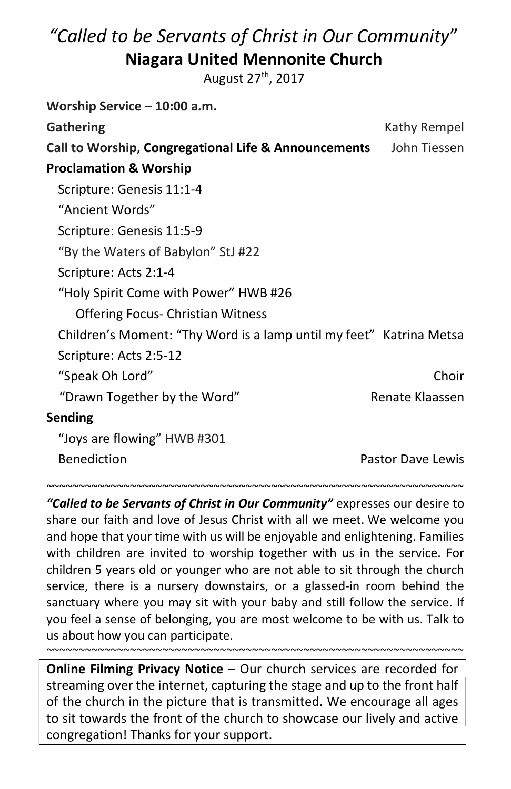# "Called to be Servants of Christ in Our Community" Niagara United Mennonite Church

August 27<sup>th</sup>, 2017

| Worship Service - 10:00 a.m.                                        |                   |
|---------------------------------------------------------------------|-------------------|
| <b>Gathering</b>                                                    | Kathy Rempel      |
| Call to Worship, Congregational Life & Announcements                | John Tiessen      |
| <b>Proclamation &amp; Worship</b>                                   |                   |
| Scripture: Genesis 11:1-4                                           |                   |
| "Ancient Words"                                                     |                   |
| Scripture: Genesis 11:5-9                                           |                   |
| "By the Waters of Babylon" StJ #22                                  |                   |
| Scripture: Acts 2:1-4                                               |                   |
| "Holy Spirit Come with Power" HWB #26                               |                   |
| <b>Offering Focus- Christian Witness</b>                            |                   |
| Children's Moment: "Thy Word is a lamp until my feet" Katrina Metsa |                   |
| Scripture: Acts 2:5-12                                              |                   |
| "Speak Oh Lord"                                                     | Choir             |
| "Drawn Together by the Word"                                        | Renate Klaassen   |
| Sending                                                             |                   |
| "Joys are flowing" HWB #301                                         |                   |
| <b>Benediction</b>                                                  | Pastor Dave Lewis |

"Called to be Servants of Christ in Our Community" expresses our desire to share our faith and love of Jesus Christ with all we meet. We welcome you and hope that your time with us will be enjoyable and enlightening. Families with children are invited to worship together with us in the service. For children 5 years old or younger who are not able to sit through the church service, there is a nursery downstairs, or a glassed-in room behind the sanctuary where you may sit with your baby and still follow the service. If you feel a sense of belonging, you are most welcome to be with us. Talk to us about how you can participate.

~~~~~~~~~~~~~~~~~~~~~~~~~~~~~~~~~~~~~~~~~~~~~~~~~~~~~~~~~~~~~~~~~

Online Filming Privacy Notice – Our church services are recorded for streaming over the internet, capturing the stage and up to the front half of the church in the picture that is transmitted. We encourage all ages to sit towards the front of the church to showcase our lively and active congregation! Thanks for your support.

~~~~~~~~~~~~~~~~~~~~~~~~~~~~~~~~~~~~~~~~~~~~~~~~~~~~~~~~~~~~~~~~~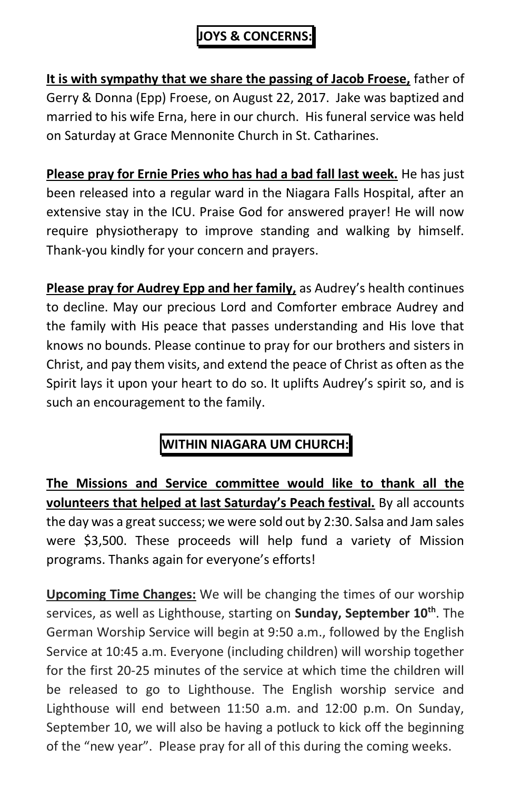### JOYS & CONCERNS:

It is with sympathy that we share the passing of Jacob Froese, father of Gerry & Donna (Epp) Froese, on August 22, 2017. Jake was baptized and married to his wife Erna, here in our church. His funeral service was held on Saturday at Grace Mennonite Church in St. Catharines.

Please pray for Ernie Pries who has had a bad fall last week. He has just been released into a regular ward in the Niagara Falls Hospital, after an extensive stay in the ICU. Praise God for answered prayer! He will now require physiotherapy to improve standing and walking by himself. Thank-you kindly for your concern and prayers.

Please pray for Audrey Epp and her family, as Audrey's health continues to decline. May our precious Lord and Comforter embrace Audrey and the family with His peace that passes understanding and His love that knows no bounds. Please continue to pray for our brothers and sisters in Christ, and pay them visits, and extend the peace of Christ as often as the Spirit lays it upon your heart to do so. It uplifts Audrey's spirit so, and is such an encouragement to the family.

## WITHIN NIAGARA UM CHURCH:

The Missions and Service committee would like to thank all the volunteers that helped at last Saturday's Peach festival. By all accounts the day was a great success; we were sold out by 2:30. Salsa and Jam sales were \$3,500. These proceeds will help fund a variety of Mission programs. Thanks again for everyone's efforts!

Upcoming Time Changes: We will be changing the times of our worship services, as well as Lighthouse, starting on **Sunday, September 10**<sup>th</sup>. The German Worship Service will begin at 9:50 a.m., followed by the English Service at 10:45 a.m. Everyone (including children) will worship together for the first 20-25 minutes of the service at which time the children will be released to go to Lighthouse. The English worship service and Lighthouse will end between 11:50 a.m. and 12:00 p.m. On Sunday, September 10, we will also be having a potluck to kick off the beginning of the "new year". Please pray for all of this during the coming weeks.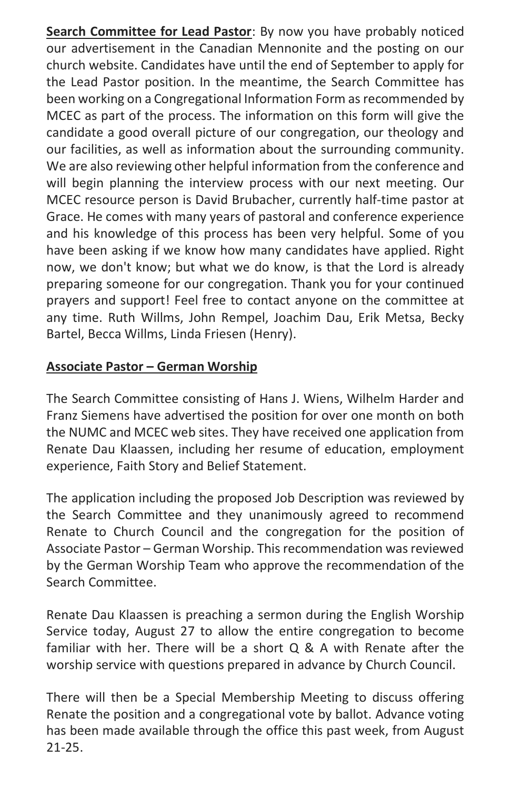Search Committee for Lead Pastor: By now you have probably noticed our advertisement in the Canadian Mennonite and the posting on our church website. Candidates have until the end of September to apply for the Lead Pastor position. In the meantime, the Search Committee has been working on a Congregational Information Form as recommended by MCEC as part of the process. The information on this form will give the candidate a good overall picture of our congregation, our theology and our facilities, as well as information about the surrounding community. We are also reviewing other helpful information from the conference and will begin planning the interview process with our next meeting. Our MCEC resource person is David Brubacher, currently half-time pastor at Grace. He comes with many years of pastoral and conference experience and his knowledge of this process has been very helpful. Some of you have been asking if we know how many candidates have applied. Right now, we don't know; but what we do know, is that the Lord is already preparing someone for our congregation. Thank you for your continued prayers and support! Feel free to contact anyone on the committee at any time. Ruth Willms, John Rempel, Joachim Dau, Erik Metsa, Becky Bartel, Becca Willms, Linda Friesen (Henry).

#### Associate Pastor – German Worship

The Search Committee consisting of Hans J. Wiens, Wilhelm Harder and Franz Siemens have advertised the position for over one month on both the NUMC and MCEC web sites. They have received one application from Renate Dau Klaassen, including her resume of education, employment experience, Faith Story and Belief Statement.

The application including the proposed Job Description was reviewed by the Search Committee and they unanimously agreed to recommend Renate to Church Council and the congregation for the position of Associate Pastor – German Worship. This recommendation was reviewed by the German Worship Team who approve the recommendation of the Search Committee.

Renate Dau Klaassen is preaching a sermon during the English Worship Service today, August 27 to allow the entire congregation to become familiar with her. There will be a short Q & A with Renate after the worship service with questions prepared in advance by Church Council.

There will then be a Special Membership Meeting to discuss offering Renate the position and a congregational vote by ballot. Advance voting has been made available through the office this past week, from August 21-25.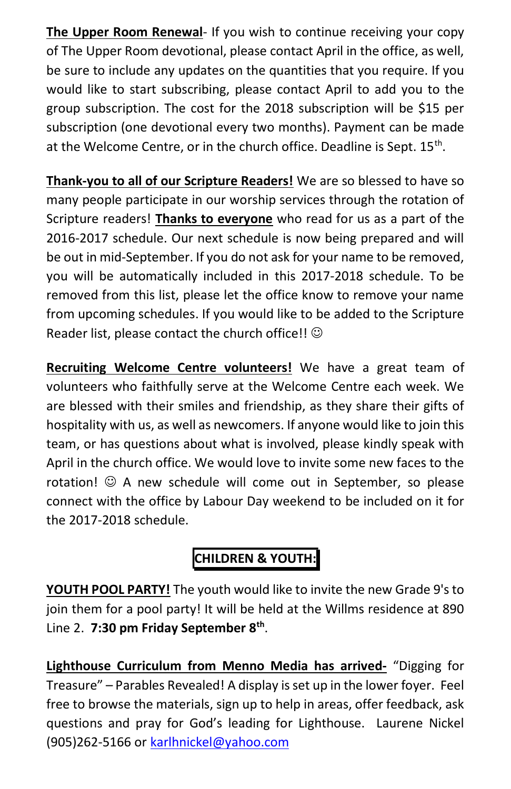The Upper Room Renewal- If you wish to continue receiving your copy of The Upper Room devotional, please contact April in the office, as well, be sure to include any updates on the quantities that you require. If you would like to start subscribing, please contact April to add you to the group subscription. The cost for the 2018 subscription will be \$15 per subscription (one devotional every two months). Payment can be made at the Welcome Centre, or in the church office. Deadline is Sept. 15<sup>th</sup>.

Thank-you to all of our Scripture Readers! We are so blessed to have so many people participate in our worship services through the rotation of Scripture readers! Thanks to everyone who read for us as a part of the 2016-2017 schedule. Our next schedule is now being prepared and will be out in mid-September. If you do not ask for your name to be removed, you will be automatically included in this 2017-2018 schedule. To be removed from this list, please let the office know to remove your name from upcoming schedules. If you would like to be added to the Scripture Reader list, please contact the church office!!  $\odot$ 

Recruiting Welcome Centre volunteers! We have a great team of volunteers who faithfully serve at the Welcome Centre each week. We are blessed with their smiles and friendship, as they share their gifts of hospitality with us, as well as newcomers. If anyone would like to join this team, or has questions about what is involved, please kindly speak with April in the church office. We would love to invite some new faces to the rotation!  $\odot$  A new schedule will come out in September, so please connect with the office by Labour Day weekend to be included on it for the 2017-2018 schedule.

# CHILDREN & YOUTH:

YOUTH POOL PARTY! The youth would like to invite the new Grade 9's to join them for a pool party! It will be held at the Willms residence at 890 Line 2. 7:30 pm Friday September 8<sup>th</sup>.

Lighthouse Curriculum from Menno Media has arrived- "Digging for Treasure" – Parables Revealed! A display is set up in the lower foyer. Feel free to browse the materials, sign up to help in areas, offer feedback, ask questions and pray for God's leading for Lighthouse. Laurene Nickel (905)262-5166 or karlhnickel@yahoo.com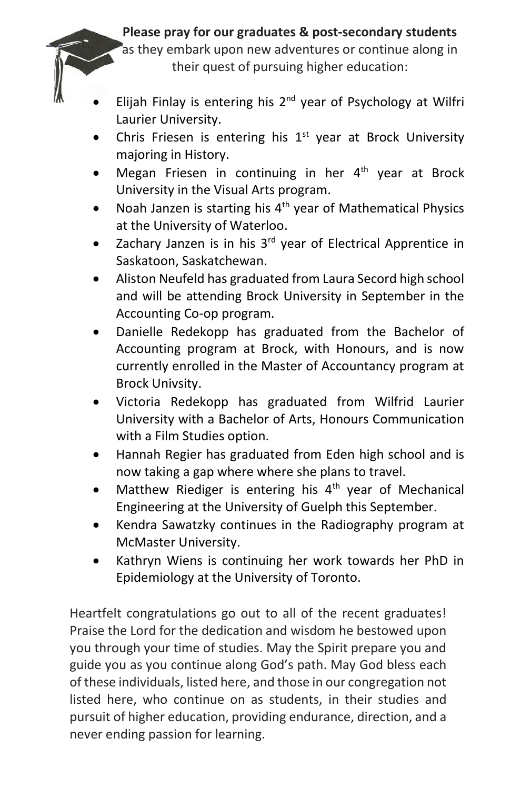#### Please pray for our graduates & post-secondary students

as they embark upon new adventures or continue along in their quest of pursuing higher education:

- Elijah Finlay is entering his  $2<sup>nd</sup>$  year of Psychology at Wilfri Laurier University.
- Chris Friesen is entering his  $1<sup>st</sup>$  year at Brock University majoring in History.
- Megan Friesen in continuing in her  $4<sup>th</sup>$  year at Brock University in the Visual Arts program.
- Noah Janzen is starting his  $4<sup>th</sup>$  year of Mathematical Physics at the University of Waterloo.
- Zachary Janzen is in his 3<sup>rd</sup> year of Electrical Apprentice in Saskatoon, Saskatchewan.
- Aliston Neufeld has graduated from Laura Secord high school and will be attending Brock University in September in the Accounting Co-op program.
- Danielle Redekopp has graduated from the Bachelor of Accounting program at Brock, with Honours, and is now currently enrolled in the Master of Accountancy program at Brock Univsity.
- Victoria Redekopp has graduated from Wilfrid Laurier University with a Bachelor of Arts, Honours Communication with a Film Studies option.
- Hannah Regier has graduated from Eden high school and is now taking a gap where where she plans to travel.
- Matthew Riediger is entering his  $4<sup>th</sup>$  year of Mechanical Engineering at the University of Guelph this September.
- Kendra Sawatzky continues in the Radiography program at McMaster University.
- Kathryn Wiens is continuing her work towards her PhD in Epidemiology at the University of Toronto.

Heartfelt congratulations go out to all of the recent graduates! Praise the Lord for the dedication and wisdom he bestowed upon you through your time of studies. May the Spirit prepare you and guide you as you continue along God's path. May God bless each of these individuals, listed here, and those in our congregation not listed here, who continue on as students, in their studies and pursuit of higher education, providing endurance, direction, and a never ending passion for learning.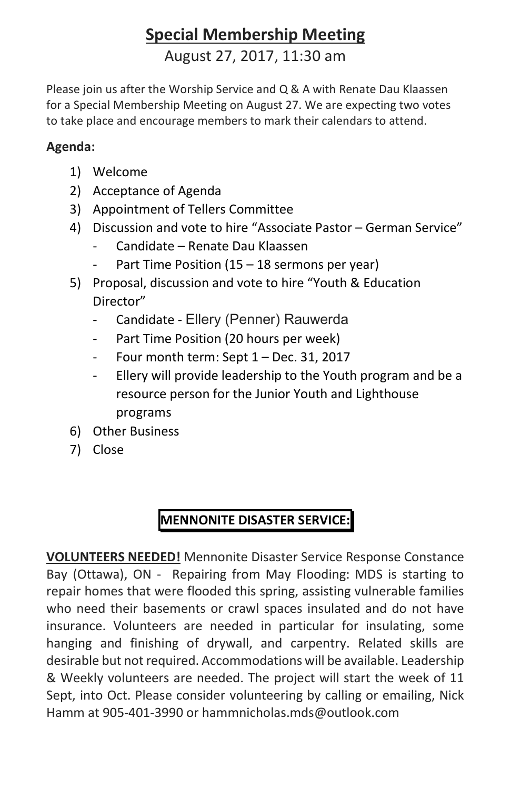# Special Membership Meeting

August 27, 2017, 11:30 am

Please join us after the Worship Service and Q & A with Renate Dau Klaassen for a Special Membership Meeting on August 27. We are expecting two votes to take place and encourage members to mark their calendars to attend.

#### Agenda:

- 1) Welcome
- 2) Acceptance of Agenda
- 3) Appointment of Tellers Committee
- 4) Discussion and vote to hire "Associate Pastor German Service"
	- Candidate Renate Dau Klaassen
	- Part Time Position (15 18 sermons per year)
- 5) Proposal, discussion and vote to hire "Youth & Education Director"
	- Candidate Ellery (Penner) Rauwerda
	- Part Time Position (20 hours per week)
	- Four month term: Sept 1 Dec. 31, 2017
	- Ellery will provide leadership to the Youth program and be a resource person for the Junior Youth and Lighthouse programs
- 6) Other Business
- 7) Close

## MENNONITE DISASTER SERVICE:

VOLUNTEERS NEEDED! Mennonite Disaster Service Response Constance Bay (Ottawa), ON - Repairing from May Flooding: MDS is starting to repair homes that were flooded this spring, assisting vulnerable families who need their basements or crawl spaces insulated and do not have insurance. Volunteers are needed in particular for insulating, some hanging and finishing of drywall, and carpentry. Related skills are desirable but not required. Accommodations will be available. Leadership & Weekly volunteers are needed. The project will start the week of 11 Sept, into Oct. Please consider volunteering by calling or emailing, Nick Hamm at 905-401-3990 or hammnicholas.mds@outlook.com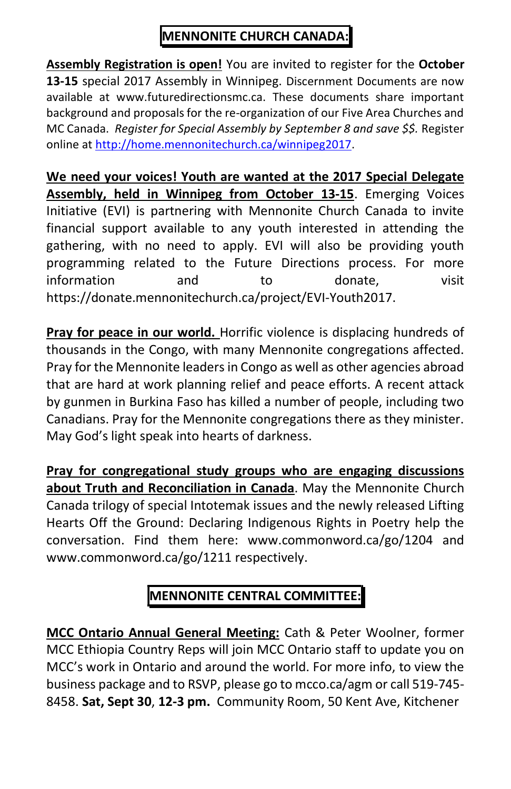### MENNONITE CHURCH CANADA:

Assembly Registration is open! You are invited to register for the October 13-15 special 2017 Assembly in Winnipeg. Discernment Documents are now available at www.futuredirectionsmc.ca. These documents share important background and proposals for the re-organization of our Five Area Churches and MC Canada. Register for Special Assembly by September 8 and save \$\$. Register online at http://home.mennonitechurch.ca/winnipeg2017.

We need your voices! Youth are wanted at the 2017 Special Delegate Assembly, held in Winnipeg from October 13-15. Emerging Voices Initiative (EVI) is partnering with Mennonite Church Canada to invite financial support available to any youth interested in attending the gathering, with no need to apply. EVI will also be providing youth programming related to the Future Directions process. For more information and to donate, visit https://donate.mennonitechurch.ca/project/EVI-Youth2017.

Pray for peace in our world. Horrific violence is displacing hundreds of thousands in the Congo, with many Mennonite congregations affected. Pray for the Mennonite leaders in Congo as well as other agencies abroad that are hard at work planning relief and peace efforts. A recent attack by gunmen in Burkina Faso has killed a number of people, including two Canadians. Pray for the Mennonite congregations there as they minister. May God's light speak into hearts of darkness.

Pray for congregational study groups who are engaging discussions about Truth and Reconciliation in Canada. May the Mennonite Church Canada trilogy of special Intotemak issues and the newly released Lifting Hearts Off the Ground: Declaring Indigenous Rights in Poetry help the conversation. Find them here: www.commonword.ca/go/1204 and www.commonword.ca/go/1211 respectively.

# MENNONITE CENTRAL COMMITTEE:

MCC Ontario Annual General Meeting: Cath & Peter Woolner, former MCC Ethiopia Country Reps will join MCC Ontario staff to update you on MCC's work in Ontario and around the world. For more info, to view the business package and to RSVP, please go to mcco.ca/agm or call 519-745- 8458. Sat, Sept 30, 12-3 pm. Community Room, 50 Kent Ave, Kitchener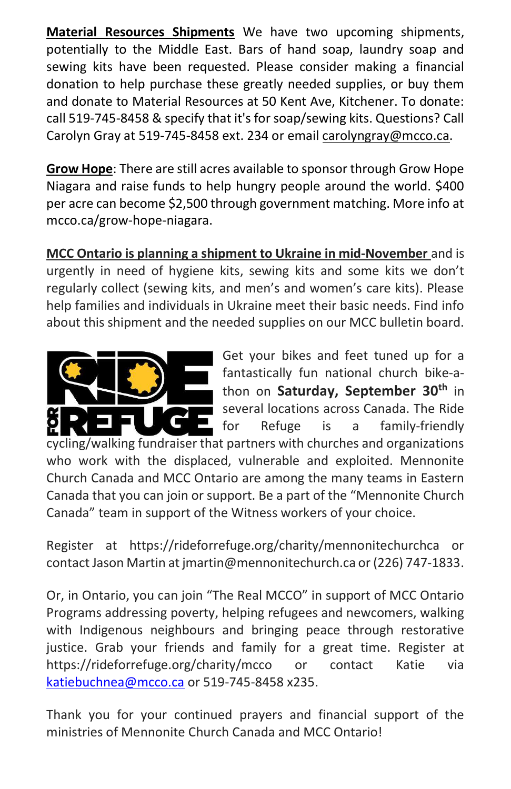Material Resources Shipments We have two upcoming shipments, potentially to the Middle East. Bars of hand soap, laundry soap and sewing kits have been requested. Please consider making a financial donation to help purchase these greatly needed supplies, or buy them and donate to Material Resources at 50 Kent Ave, Kitchener. To donate: call 519-745-8458 & specify that it's for soap/sewing kits. Questions? Call Carolyn Gray at 519-745-8458 ext. 234 or email carolyngray@mcco.ca.

Grow Hope: There are still acres available to sponsor through Grow Hope Niagara and raise funds to help hungry people around the world. \$400 per acre can become \$2,500 through government matching. More info at mcco.ca/grow-hope-niagara.

MCC Ontario is planning a shipment to Ukraine in mid-November and is urgently in need of hygiene kits, sewing kits and some kits we don't regularly collect (sewing kits, and men's and women's care kits). Please help families and individuals in Ukraine meet their basic needs. Find info about this shipment and the needed supplies on our MCC bulletin board.



Get your bikes and feet tuned up for a fantastically fun national church bike-athon on Saturday, September 30<sup>th</sup> in several locations across Canada. The Ride for Refuge is a family-friendly

cycling/walking fundraiser that partners with churches and organizations who work with the displaced, vulnerable and exploited. Mennonite Church Canada and MCC Ontario are among the many teams in Eastern Canada that you can join or support. Be a part of the "Mennonite Church Canada" team in support of the Witness workers of your choice.

Register at https://rideforrefuge.org/charity/mennonitechurchca or contact Jason Martin at jmartin@mennonitechurch.ca or (226) 747-1833.

Or, in Ontario, you can join "The Real MCCO" in support of MCC Ontario Programs addressing poverty, helping refugees and newcomers, walking with Indigenous neighbours and bringing peace through restorative justice. Grab your friends and family for a great time. Register at https://rideforrefuge.org/charity/mcco or contact Katie via katiebuchnea@mcco.ca or 519-745-8458 x235.

Thank you for your continued prayers and financial support of the ministries of Mennonite Church Canada and MCC Ontario!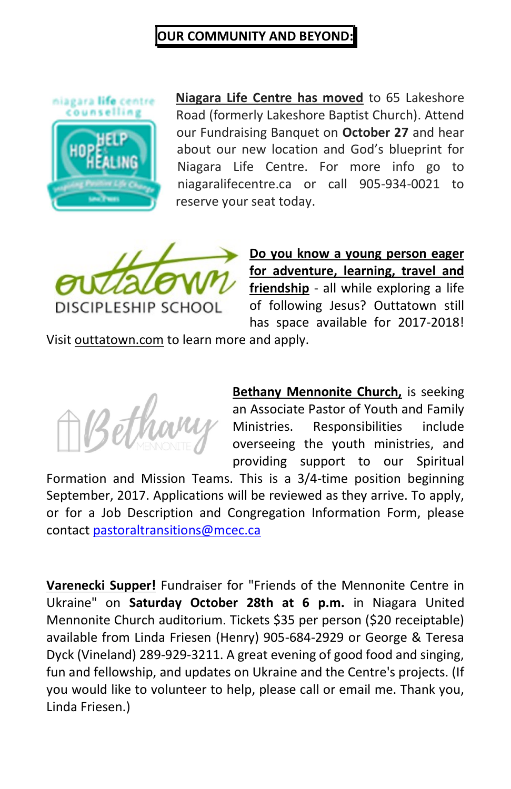#### OUR COMMUNITY AND BEYOND:



Niagara Life Centre has moved to 65 Lakeshore Road (formerly Lakeshore Baptist Church). Attend our Fundraising Banquet on October 27 and hear about our new location and God's blueprint for Niagara Life Centre. For more info go to niagaralifecentre.ca or call 905-934-0021 to reserve your seat today.



Do you know a young person eager for adventure, learning, travel and friendship - all while exploring a life of following Jesus? Outtatown still has space available for 2017-2018!

Visit outtatown.com to learn more and apply.



**Bethany Mennonite Church**, is seeking an Associate Pastor of Youth and Family Ministries. Responsibilities include overseeing the youth ministries, and providing support to our Spiritual

Formation and Mission Teams. This is a 3/4-time position beginning September, 2017. Applications will be reviewed as they arrive. To apply, or for a Job Description and Congregation Information Form, please contact pastoraltransitions@mcec.ca

Varenecki Supper! Fundraiser for "Friends of the Mennonite Centre in Ukraine" on Saturday October 28th at 6 p.m. in Niagara United Mennonite Church auditorium. Tickets \$35 per person (\$20 receiptable) available from Linda Friesen (Henry) 905-684-2929 or George & Teresa Dyck (Vineland) 289-929-3211. A great evening of good food and singing, fun and fellowship, and updates on Ukraine and the Centre's projects. (If you would like to volunteer to help, please call or email me. Thank you, Linda Friesen.)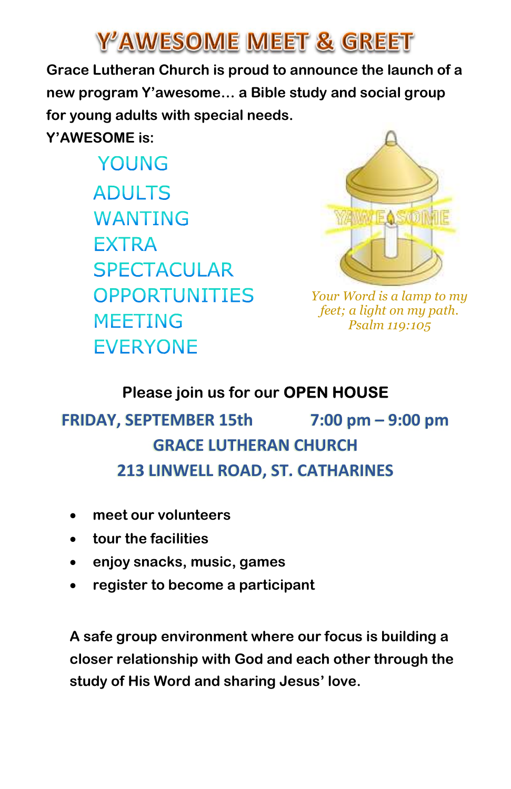# Y'AWESOME MEET & GREET

Grace Lutheran Church is proud to announce the launch of a new program Y'awesome… a Bible study and social group for young adults with special needs.

Y'AWESOME is:

YOUNG **ADULTS WANTING FXTRA SPECTACULAR OPPORTUNITIES MEETING FVFRYONF** 



Your Word is a lamp to my feet; a light on my path. Psalm 119:105

## Please join us for our OPEN HOUSE

# FRIDAY, SEPTEMBER 15th 7:00 pm – 9:00 pm GRACE LUTHERAN CHURCH 213 LINWELL ROAD, ST. CATHARINES

- meet our volunteers
- tour the facilities
- enjoy snacks, music, games
- register to become a participant

A safe group environment where our focus is building a closer relationship with God and each other through the study of His Word and sharing Jesus' love.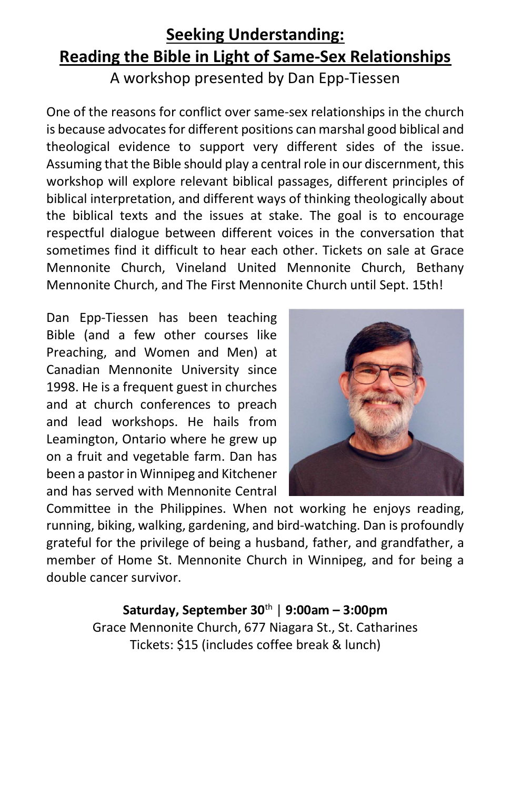## Seeking Understanding: Reading the Bible in Light of Same-Sex Relationships A workshop presented by Dan Epp-Tiessen

One of the reasons for conflict over same-sex relationships in the church is because advocates for different positions can marshal good biblical and theological evidence to support very different sides of the issue. Assuming that the Bible should play a central role in our discernment, this workshop will explore relevant biblical passages, different principles of biblical interpretation, and different ways of thinking theologically about the biblical texts and the issues at stake. The goal is to encourage respectful dialogue between different voices in the conversation that sometimes find it difficult to hear each other. Tickets on sale at Grace Mennonite Church, Vineland United Mennonite Church, Bethany Mennonite Church, and The First Mennonite Church until Sept. 15th!

Dan Epp-Tiessen has been teaching Bible (and a few other courses like Preaching, and Women and Men) at Canadian Mennonite University since 1998. He is a frequent guest in churches and at church conferences to preach and lead workshops. He hails from Leamington, Ontario where he grew up on a fruit and vegetable farm. Dan has been a pastor in Winnipeg and Kitchener and has served with Mennonite Central



Committee in the Philippines. When not working he enjoys reading, running, biking, walking, gardening, and bird-watching. Dan is profoundly grateful for the privilege of being a husband, father, and grandfather, a member of Home St. Mennonite Church in Winnipeg, and for being a double cancer survivor.

> Saturday, September 30th | 9:00am – 3:00pm Grace Mennonite Church, 677 Niagara St., St. Catharines Tickets: \$15 (includes coffee break & lunch)